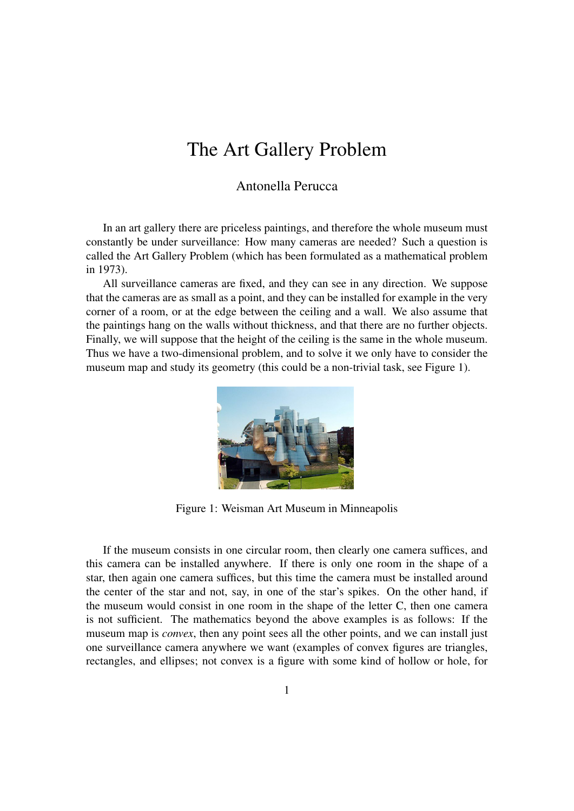# The Art Gallery Problem

#### Antonella Perucca

In an art gallery there are priceless paintings, and therefore the whole museum must constantly be under surveillance: How many cameras are needed? Such a question is called the Art Gallery Problem (which has been formulated as a mathematical problem in 1973).

All surveillance cameras are fixed, and they can see in any direction. We suppose that the cameras are as small as a point, and they can be installed for example in the very corner of a room, or at the edge between the ceiling and a wall. We also assume that the paintings hang on the walls without thickness, and that there are no further objects. Finally, we will suppose that the height of the ceiling is the same in the whole museum. Thus we have a two-dimensional problem, and to solve it we only have to consider the museum map and study its geometry (this could be a non-trivial task, see Figure 1).



Figure 1: Weisman Art Museum in Minneapolis

If the museum consists in one circular room, then clearly one camera suffices, and this camera can be installed anywhere. If there is only one room in the shape of a star, then again one camera suffices, but this time the camera must be installed around the center of the star and not, say, in one of the star's spikes. On the other hand, if the museum would consist in one room in the shape of the letter C, then one camera is not sufficient. The mathematics beyond the above examples is as follows: If the museum map is *convex*, then any point sees all the other points, and we can install just one surveillance camera anywhere we want (examples of convex figures are triangles, rectangles, and ellipses; not convex is a figure with some kind of hollow or hole, for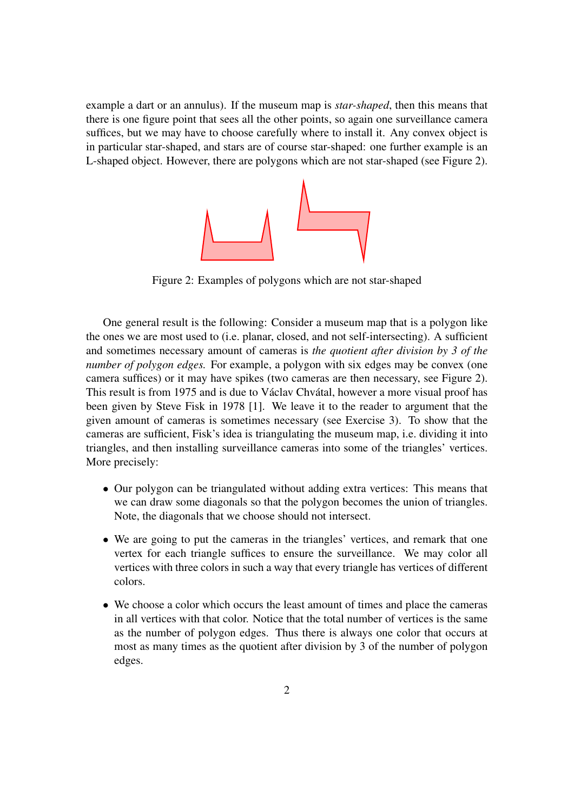example a dart or an annulus). If the museum map is *star-shaped*, then this means that there is one figure point that sees all the other points, so again one surveillance camera suffices, but we may have to choose carefully where to install it. Any convex object is in particular star-shaped, and stars are of course star-shaped: one further example is an L-shaped object. However, there are polygons which are not star-shaped (see Figure 2).



Figure 2: Examples of polygons which are not star-shaped

One general result is the following: Consider a museum map that is a polygon like the ones we are most used to (i.e. planar, closed, and not self-intersecting). A sufficient and sometimes necessary amount of cameras is *the quotient after division by 3 of the number of polygon edges.* For example, a polygon with six edges may be convex (one camera suffices) or it may have spikes (two cameras are then necessary, see Figure 2). This result is from 1975 and is due to Václav Chvátal, however a more visual proof has been given by Steve Fisk in 1978 [\[1\]](#page-2-0). We leave it to the reader to argument that the given amount of cameras is sometimes necessary (see Exercise 3). To show that the cameras are sufficient, Fisk's idea is triangulating the museum map, i.e. dividing it into triangles, and then installing surveillance cameras into some of the triangles' vertices. More precisely:

- Our polygon can be triangulated without adding extra vertices: This means that we can draw some diagonals so that the polygon becomes the union of triangles. Note, the diagonals that we choose should not intersect.
- We are going to put the cameras in the triangles' vertices, and remark that one vertex for each triangle suffices to ensure the surveillance. We may color all vertices with three colors in such a way that every triangle has vertices of different colors.
- We choose a color which occurs the least amount of times and place the cameras in all vertices with that color. Notice that the total number of vertices is the same as the number of polygon edges. Thus there is always one color that occurs at most as many times as the quotient after division by 3 of the number of polygon edges.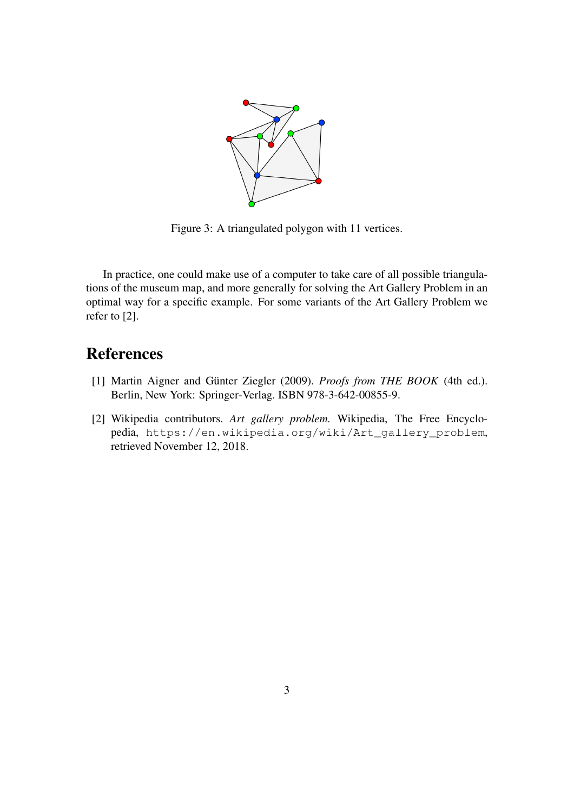

Figure 3: A triangulated polygon with 11 vertices.

In practice, one could make use of a computer to take care of all possible triangulations of the museum map, and more generally for solving the Art Gallery Problem in an optimal way for a specific example. For some variants of the Art Gallery Problem we refer to [\[2\]](#page-2-1).

## References

- <span id="page-2-0"></span>[1] Martin Aigner and Günter Ziegler (2009). *Proofs from THE BOOK* (4th ed.). Berlin, New York: Springer-Verlag. ISBN 978-3-642-00855-9.
- <span id="page-2-1"></span>[2] Wikipedia contributors. *Art gallery problem.* Wikipedia, The Free Encyclopedia, [https://en.wikipedia.org/wiki/Art\\_gallery\\_problem](https://en.wikipedia.org/wiki/Art_gallery_problem), retrieved November 12, 2018.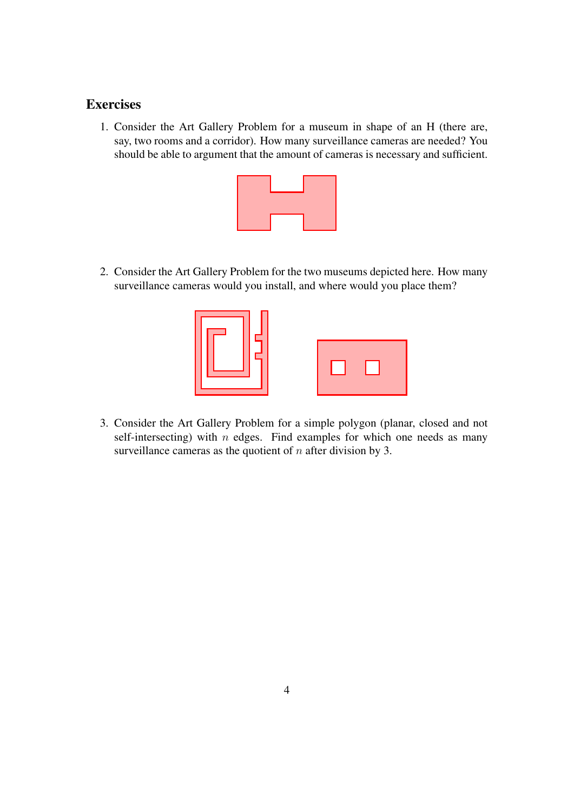### **Exercises**

1. Consider the Art Gallery Problem for a museum in shape of an H (there are, say, two rooms and a corridor). How many surveillance cameras are needed? You should be able to argument that the amount of cameras is necessary and sufficient.



2. Consider the Art Gallery Problem for the two museums depicted here. How many surveillance cameras would you install, and where would you place them?



3. Consider the Art Gallery Problem for a simple polygon (planar, closed and not self-intersecting) with  $n$  edges. Find examples for which one needs as many surveillance cameras as the quotient of  $n$  after division by 3.